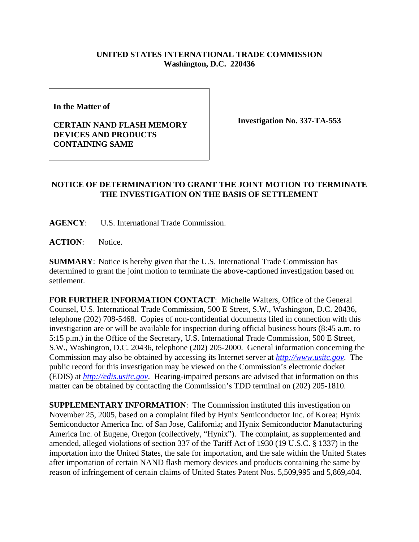## **UNITED STATES INTERNATIONAL TRADE COMMISSION Washington, D.C. 220436**

**In the Matter of** 

## **CERTAIN NAND FLASH MEMORY DEVICES AND PRODUCTS CONTAINING SAME**

**Investigation No. 337-TA-553**

## **NOTICE OF DETERMINATION TO GRANT THE JOINT MOTION TO TERMINATE THE INVESTIGATION ON THE BASIS OF SETTLEMENT**

**AGENCY**: U.S. International Trade Commission.

**ACTION**: Notice.

**SUMMARY**: Notice is hereby given that the U.S. International Trade Commission has determined to grant the joint motion to terminate the above-captioned investigation based on settlement.

**FOR FURTHER INFORMATION CONTACT**: Michelle Walters, Office of the General Counsel, U.S. International Trade Commission, 500 E Street, S.W., Washington, D.C. 20436, telephone (202) 708-5468. Copies of non-confidential documents filed in connection with this investigation are or will be available for inspection during official business hours (8:45 a.m. to 5:15 p.m.) in the Office of the Secretary, U.S. International Trade Commission, 500 E Street, S.W., Washington, D.C. 20436, telephone (202) 205-2000. General information concerning the Commission may also be obtained by accessing its Internet server at *http://www.usitc.gov*. The public record for this investigation may be viewed on the Commission's electronic docket (EDIS) at *http://edis.usitc.gov*. Hearing-impaired persons are advised that information on this matter can be obtained by contacting the Commission's TDD terminal on (202) 205-1810.

**SUPPLEMENTARY INFORMATION:** The Commission instituted this investigation on November 25, 2005, based on a complaint filed by Hynix Semiconductor Inc. of Korea; Hynix Semiconductor America Inc. of San Jose, California; and Hynix Semiconductor Manufacturing America Inc. of Eugene, Oregon (collectively, "Hynix"). The complaint, as supplemented and amended, alleged violations of section 337 of the Tariff Act of 1930 (19 U.S.C. § 1337) in the importation into the United States, the sale for importation, and the sale within the United States after importation of certain NAND flash memory devices and products containing the same by reason of infringement of certain claims of United States Patent Nos. 5,509,995 and 5,869,404.